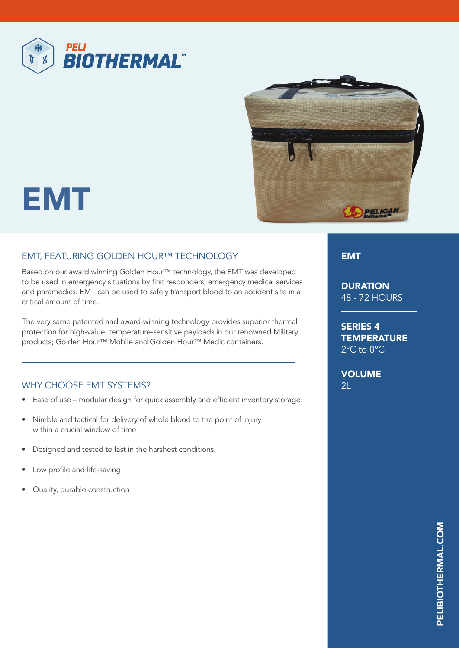



## EMT

## EMT, FEATURING GOLDEN HOUR™ TECHNOLOGY

Based on our award winning Golden Hour™ technology, the EMT was developed to be used in emergency situations by first responders, emergency medical services and paramedics. EMT can be used to safely transport blood to an accident site in a critical amount of time.

The very same patented and award-winning technology provides superior thermal protection for high-value, temperature-sensitive payloads in our renowned Military products; Golden Hour™ Mobile and Golden Hour™ Medic containers.

## WHY CHOOSE EMT SYSTEMS?

- Ease of use modular design for quick assembly and efficient inventory storage
- Nimble and tactical for delivery of whole blood to the point of injury within a crucial window of time
- Designed and tested to last in the harshest conditions.
- Low profile and life-saving
- Quality, durable construction

EMT

**DURATION** 48 - 72 HOURS

SERIES 4 **TEMPERATURE** 2°C to 8°C

VOLUME  $2L$